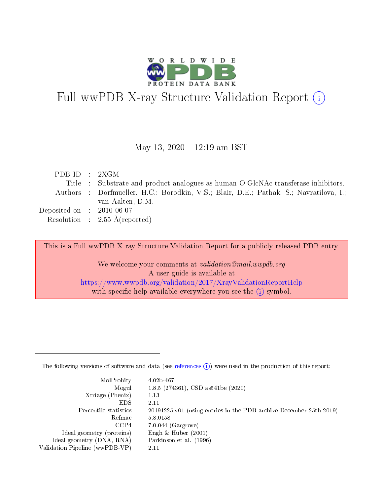

# Full wwPDB X-ray Structure Validation Report (i)

#### May 13, 2020 - 12:19 am BST

| PDB ID : 2XGM                        |                                                                                       |
|--------------------------------------|---------------------------------------------------------------------------------------|
|                                      | Title: Substrate and product analogues as human O-GlcNAc transferase inhibitors.      |
|                                      | Authors: Dorfmueller, H.C.; Borodkin, V.S.; Blair, D.E.; Pathak, S.; Navratilova, I.; |
|                                      | van Aalten, D.M.                                                                      |
| Deposited on $\therefore$ 2010-06-07 |                                                                                       |
|                                      | Resolution : $2.55 \text{ Å}$ (reported)                                              |

This is a Full wwPDB X-ray Structure Validation Report for a publicly released PDB entry.

We welcome your comments at validation@mail.wwpdb.org A user guide is available at <https://www.wwpdb.org/validation/2017/XrayValidationReportHelp> with specific help available everywhere you see the  $(i)$  symbol.

The following versions of software and data (see [references](https://www.wwpdb.org/validation/2017/XrayValidationReportHelp#references)  $(1)$ ) were used in the production of this report:

| $MolProbability$ : 4.02b-467                      |                              |                                                                                            |
|---------------------------------------------------|------------------------------|--------------------------------------------------------------------------------------------|
|                                                   |                              | Mogul : $1.8.5$ (274361), CSD as 541be (2020)                                              |
| Xtriage (Phenix) $: 1.13$                         |                              |                                                                                            |
| EDS –                                             | $\sim$                       | -2.11                                                                                      |
|                                                   |                              | Percentile statistics : 20191225.v01 (using entries in the PDB archive December 25th 2019) |
| Refmac : 5.8.0158                                 |                              |                                                                                            |
| CCP4                                              |                              | $7.0.044$ (Gargrove)                                                                       |
| Ideal geometry (proteins)                         | $\mathcal{L}_{\mathrm{eff}}$ | Engh & Huber $(2001)$                                                                      |
| Ideal geometry (DNA, RNA) Parkinson et al. (1996) |                              |                                                                                            |
| Validation Pipeline (wwPDB-VP) : 2.11             |                              |                                                                                            |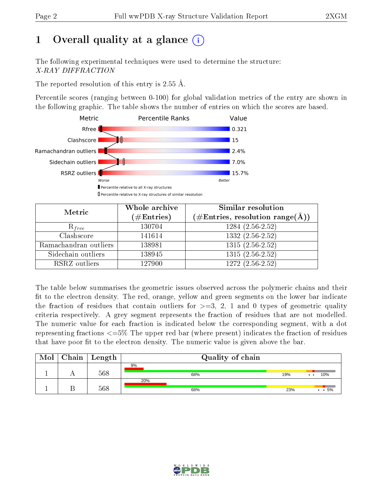# 1 [O](https://www.wwpdb.org/validation/2017/XrayValidationReportHelp#overall_quality)verall quality at a glance  $(i)$

The following experimental techniques were used to determine the structure: X-RAY DIFFRACTION

The reported resolution of this entry is  $2.55 \text{ Å}.$ 

Percentile scores (ranging between 0-100) for global validation metrics of the entry are shown in the following graphic. The table shows the number of entries on which the scores are based.



| Metric                | Whole archive<br>$(\#\mathrm{Entries})$ | Similar resolution<br>$(\#\text{Entries},\, \text{resolution}\; \text{range}(\textup{\AA}))$ |  |  |
|-----------------------|-----------------------------------------|----------------------------------------------------------------------------------------------|--|--|
| $R_{free}$            | 130704                                  | $1284(2.56-2.52)$                                                                            |  |  |
| Clashscore            | 141614                                  | $1332(2.56-2.52)$                                                                            |  |  |
| Ramachandran outliers | 138981                                  | $1315(2.56-2.52)$                                                                            |  |  |
| Sidechain outliers    | 138945                                  | $1315(2.56-2.52)$                                                                            |  |  |
| RSRZ outliers         | 127900                                  | $1272(2.56-2.52)$                                                                            |  |  |

The table below summarises the geometric issues observed across the polymeric chains and their fit to the electron density. The red, orange, yellow and green segments on the lower bar indicate the fraction of residues that contain outliers for  $>=3, 2, 1$  and 0 types of geometric quality criteria respectively. A grey segment represents the fraction of residues that are not modelled. The numeric value for each fraction is indicated below the corresponding segment, with a dot representing fractions  $\epsilon=5\%$  The upper red bar (where present) indicates the fraction of residues that have poor fit to the electron density. The numeric value is given above the bar.

| Mol | Chain | Length | Quality of chain |     |                                   |
|-----|-------|--------|------------------|-----|-----------------------------------|
|     |       | 568    | 9%<br>68%        | 19% | 10%<br>$\bullet\quad\bullet\quad$ |
|     |       | 568    | 20%<br>68%       | 23% | $\cdot$ $\cdot$ 5%                |

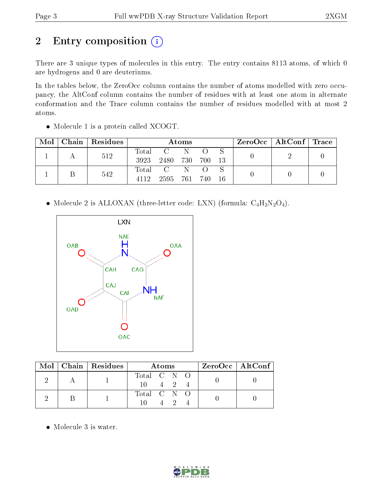# 2 Entry composition (i)

There are 3 unique types of molecules in this entry. The entry contains 8113 atoms, of which 0 are hydrogens and 0 are deuteriums.

In the tables below, the ZeroOcc column contains the number of atoms modelled with zero occupancy, the AltConf column contains the number of residues with at least one atom in alternate conformation and the Trace column contains the number of residues modelled with at most 2 atoms.

| Mol |     | Chain   Residues | Atoms    |                 |       |       |      |  | $\text{ZeroOcc}$   AltConf   Trace |  |
|-----|-----|------------------|----------|-----------------|-------|-------|------|--|------------------------------------|--|
|     |     | 512              | Total    | $\mathbf{C}$    | -N-   |       |      |  |                                    |  |
|     |     |                  | 3923     | 2480 730        |       | - 700 | - 13 |  |                                    |  |
|     |     |                  | Total    | $\sim$ C $\sim$ |       |       |      |  |                                    |  |
|     | 542 | 4119             | 2595 761 |                 | - 740 | -16   |      |  |                                    |  |

• Molecule 1 is a protein called XCOGT.

• Molecule 2 is ALLOXAN (three-letter code: LXN) (formula:  $C_4H_2N_2O_4$ ).



|  | $\text{Mol}$   Chain   Residues | A toms                             | $ZeroOcc \   \$ AltConf |
|--|---------------------------------|------------------------------------|-------------------------|
|  |                                 | Total C N O<br>$10 \t 4 \t 2 \t 4$ |                         |
|  |                                 | Total C N O<br>10.                 |                         |

Molecule 3 is water.

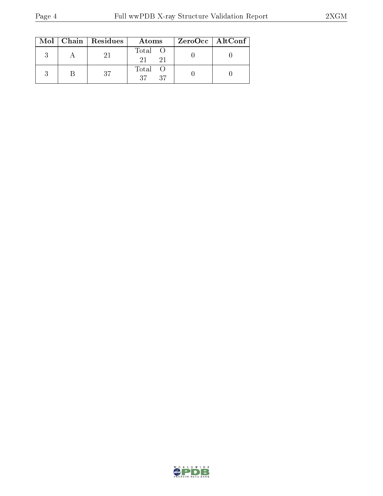|  | $Mol$   Chain   Residues | Atoms                | ZeroOcc   AltConf |  |
|--|--------------------------|----------------------|-------------------|--|
|  | 21                       | Total O<br>21<br>-21 |                   |  |
|  | 37                       | Total O<br>37<br>-37 |                   |  |

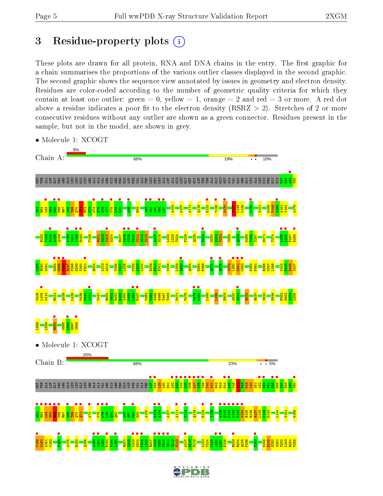# 3 Residue-property plots  $(i)$

These plots are drawn for all protein, RNA and DNA chains in the entry. The first graphic for a chain summarises the proportions of the various outlier classes displayed in the second graphic. The second graphic shows the sequence view annotated by issues in geometry and electron density. Residues are color-coded according to the number of geometric quality criteria for which they contain at least one outlier: green  $= 0$ , yellow  $= 1$ , orange  $= 2$  and red  $= 3$  or more. A red dot above a residue indicates a poor fit to the electron density (RSRZ  $> 2$ ). Stretches of 2 or more consecutive residues without any outlier are shown as a green connector. Residues present in the sample, but not in the model, are shown in grey.



• Molecule 1: XCOGT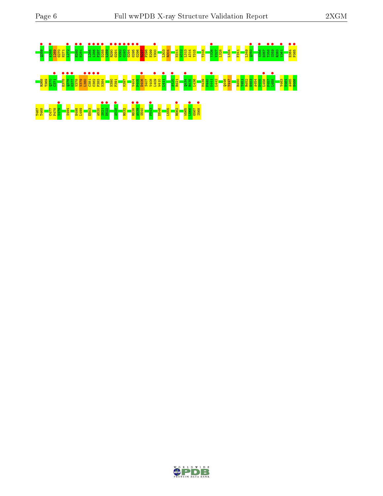# Q259 • A268 • L269 G270 H271 L272 • H280 • H281 • L285 • L286 • F287 • D288 • L289 R290 • G291 • W292 • G293 • G294 • G295 • G296 • R297 P298 E299 V300 • L303 R304 N311 W312 L313 A314 Y315 T318 Y326 • V327 L328 L334 F341 L349 Q350 • S356 • D357 T358 • S359 • R360 V361 • E364 • P365 • R368 T369 Q370 C371 • E375 • Q376 • G377 • V378 V379 L380 • C381 • C382 • F383 • N384 N390 P391 M397 V404 P405 D406 • S407 V408 L409 • W410 L411 • A420 • R421 Q434 • R435 L436 M439 P440 K441 • L442 Q446 Y447 R450 Y451 R452 H453 A454 D455 L456 • F457 L458 • Y463 N464 A465 H466 T467 T468 C477 P478 V479 • S494 H498 L499 E503 A520 S521 • D522 • A528 • R532 R538 • A539 • S540 F543 • D546 L555 R562 • W565 L566 • G567 I568 •

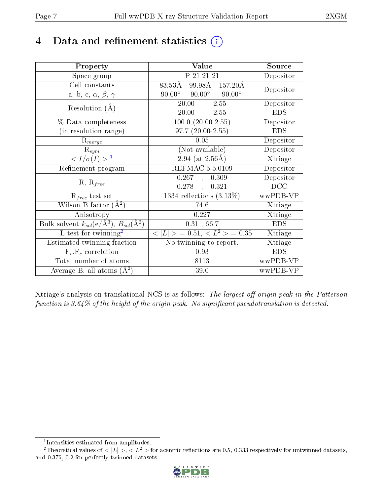# 4 Data and refinement statistics  $(i)$

| Property                                                             | Value                                            | Source     |
|----------------------------------------------------------------------|--------------------------------------------------|------------|
| Space group                                                          | P 21 21 21                                       | Depositor  |
| Cell constants                                                       | 99.98Å 157.20Å<br>83.53Å                         | Depositor  |
| a, b, c, $\alpha$ , $\beta$ , $\gamma$                               | $90.00^{\circ}$ $90.00^{\circ}$<br>$90.00^\circ$ |            |
| Resolution $(A)$                                                     | $-2.55$<br>20.00                                 | Depositor  |
|                                                                      | 20.00<br>$-2.55$                                 | <b>EDS</b> |
| $\%$ Data completeness                                               | $100.0 (20.00 - 2.55)$                           | Depositor  |
| (in resolution range)                                                | $97.7(20.00-2.55)$                               | <b>EDS</b> |
| $R_{merge}$                                                          | 0.05                                             | Depositor  |
| $\mathrm{R}_{sym}$                                                   | (Not available)                                  | Depositor  |
| $\langle I/\sigma(I) \rangle^{-1}$                                   | $\sqrt{2.94 \ (at\ 2.56\text{\AA})}$             | Xtriage    |
| Refinement program                                                   | <b>REFMAC 5.5.0109</b>                           | Depositor  |
|                                                                      | 0.267,<br>0.309                                  | Depositor  |
| $R, R_{free}$                                                        | $0.278$ ,<br>0.321                               | DCC        |
| $R_{free}$ test set                                                  | 1334 reflections $(3.13\%)$                      | wwPDB-VP   |
| Wilson B-factor $(A^2)$                                              | 74.6                                             | Xtriage    |
| Anisotropy                                                           | 0.227                                            | Xtriage    |
| Bulk solvent $k_{sol}(e/\mathring{A}^3)$ , $B_{sol}(\mathring{A}^2)$ | 0.31, 66.7                                       | <b>EDS</b> |
| L-test for $\overline{\text{twinning}}^2$                            | $< L >$ = 0.51, $< L^2 >$ = 0.35                 | Xtriage    |
| Estimated twinning fraction                                          | No twinning to report.                           | Xtriage    |
| $\overline{F_o}, \overline{F_c}$ correlation                         | 0.93                                             | <b>EDS</b> |
| Total number of atoms                                                | 8113                                             | wwPDB-VP   |
| Average B, all atoms $(A^2)$                                         | 39.0                                             | wwPDB-VP   |

Xtriage's analysis on translational NCS is as follows: The largest off-origin peak in the Patterson function is  $3.64\%$  of the height of the origin peak. No significant pseudotranslation is detected.

<sup>&</sup>lt;sup>2</sup>Theoretical values of  $\langle |L| \rangle$ ,  $\langle L^2 \rangle$  for acentric reflections are 0.5, 0.333 respectively for untwinned datasets, and 0.375, 0.2 for perfectly twinned datasets.



<span id="page-6-1"></span><span id="page-6-0"></span><sup>1</sup> Intensities estimated from amplitudes.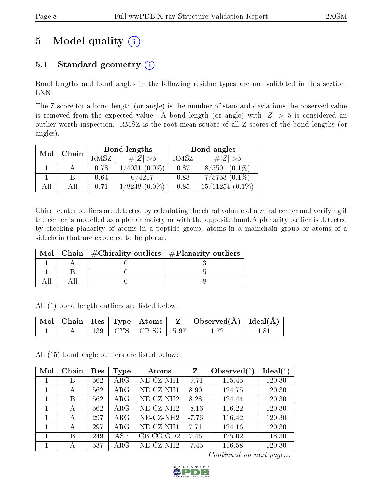# 5 Model quality  $(i)$

## 5.1 Standard geometry  $(i)$

Bond lengths and bond angles in the following residue types are not validated in this section: LXN

The Z score for a bond length (or angle) is the number of standard deviations the observed value is removed from the expected value. A bond length (or angle) with  $|Z| > 5$  is considered an outlier worth inspection. RMSZ is the root-mean-square of all Z scores of the bond lengths (or angles).

| Mol | Chain |      | Bond lengths    | Bond angles |                      |  |
|-----|-------|------|-----------------|-------------|----------------------|--|
|     |       | RMSZ | $\# Z  > 5$     | RMSZ        | $\# Z  > 5$          |  |
|     |       | 0.78 | $(4031 (0.0\%)$ | 0.87        | $8/5501$ $(0.1\%)$   |  |
|     |       | 0.64 | 0/4217          | 0.83        | $7/5753(0.1\%)$      |  |
| 4 H | АH    | 0.71 | $(8248(0.0\%)$  | 0.85        | $15/11254$ $(0.1\%)$ |  |

Chiral center outliers are detected by calculating the chiral volume of a chiral center and verifying if the center is modelled as a planar moiety or with the opposite hand.A planarity outlier is detected by checking planarity of atoms in a peptide group, atoms in a mainchain group or atoms of a sidechain that are expected to be planar.

|  | Mol   Chain   $\#\text{Chirality outliers}$   $\#\text{Planarity outliers}$ |
|--|-----------------------------------------------------------------------------|
|  |                                                                             |
|  |                                                                             |
|  |                                                                             |

All (1) bond length outliers are listed below:

|  |  |                                         | $\vert$ Mol $\vert$ Chain $\vert$ Res $\vert$ Type $\vert$ Atoms $\vert$ Z $\vert$ Observed(A) $\vert$ Ideal(A) |  |
|--|--|-----------------------------------------|-----------------------------------------------------------------------------------------------------------------|--|
|  |  | $-139$   CYS   CB-SG   -5.97 $^{\circ}$ |                                                                                                                 |  |

All (15) bond angle outliers are listed below:

| Mol | Chain | Res | Type        | Atoms                 | Z       | Observed $(°)$ | $Ideal(^o)$ |
|-----|-------|-----|-------------|-----------------------|---------|----------------|-------------|
|     | B     | 562 | ${\rm ARG}$ | NE-CZ-NH1             | $-9.71$ | 115.45         | 120.30      |
|     | А     | 562 | $\rm{ARG}$  | NE-CZ-NH1             | 8.90    | 124.75         | 120.30      |
|     | B     | 562 | ${\rm ARG}$ | NE-CZ-NH <sub>2</sub> | 8.28    | 124.44         | 120.30      |
|     | А     | 562 | $\rm{ARG}$  | $NE$ - $CZ$ - $NH2$   | $-8.16$ | 116.22         | 120.30      |
|     | А     | 297 | $\rm{ARG}$  | NE-CZ-NH <sub>2</sub> | $-7.76$ | 116.42         | 120.30      |
|     | А     | 297 | $\rm{ARG}$  | NE-CZ-NH1             | 7.71    | 124.16         | 120.30      |
|     | B     | 249 | ASP         | $CB-CG-OD2$           | 7.46    | 125.02         | 118.30      |
|     | А     | 537 | ${\rm ARG}$ | NE-CZ-NH <sub>2</sub> | $-7.45$ | 116.58         | 120.30      |

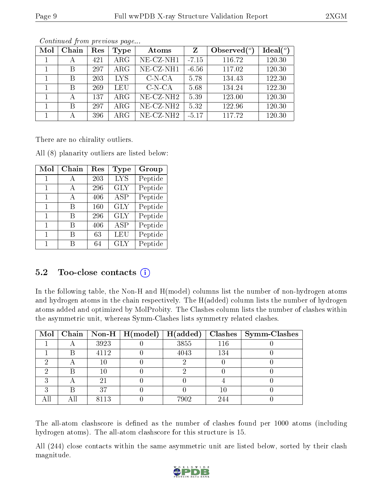| Mol | Chain | Res | Type       | Atoms                    | Z       | Observed $\binom{o}{c}$ | $Ideal(^o)$ |
|-----|-------|-----|------------|--------------------------|---------|-------------------------|-------------|
|     | А     | 421 | $\rm{ARG}$ | NE-CZ-NH1                | $-7.15$ | 116.72                  | 120.30      |
|     | В     | 297 | $\rm{ARG}$ | NE-CZ-NH1                | $-6.56$ | 117.02                  | 120.30      |
|     | В     | 203 | <b>LYS</b> | $C-N-CA$                 | 5.78    | 134.43                  | 122.30      |
|     | В     | 269 | LEU        | $C-N-CA$                 | 5.68    | 134.24                  | 122.30      |
|     | А     | 137 | $\rm{ARG}$ | $NE-CZ-NH2$              | 5.39    | 123.00                  | 120.30      |
|     | В     | 297 | $\rm{ARG}$ | $NE$ -CZ-NH <sub>2</sub> | 5.32    | 122.96                  | 120.30      |
|     | А     | 396 | $\rm{ARG}$ | $NE- CZ-NH2$             | $-5.17$ | 117.72                  | 120.30      |

There are no chirality outliers.

|  | All (8) planarity outliers are listed below: |  |  |  |  |
|--|----------------------------------------------|--|--|--|--|
|--|----------------------------------------------|--|--|--|--|

| Mol | Chain | $\operatorname{Res}% \left( \mathcal{N}\right) \equiv\operatorname{Res}(\mathcal{N}_{0},\mathcal{N}_{0})$ | Type       | Group   |
|-----|-------|-----------------------------------------------------------------------------------------------------------|------------|---------|
| 1   | А     | 203                                                                                                       | <b>LYS</b> | Peptide |
| 1   | A     | 296                                                                                                       | <b>GLY</b> | Peptide |
| 1   | A     | 406                                                                                                       | ASP        | Peptide |
| 1   | B     | 160                                                                                                       | <b>GLY</b> | Peptide |
| 1   | R     | 296                                                                                                       | <b>GLY</b> | Peptide |
| 1   | B     | 406                                                                                                       | ASP        | Peptide |
| 1   | R     | 63                                                                                                        | LEU        | Peptide |
| 1   | R     | 64                                                                                                        | <b>GLY</b> | Peptide |

### 5.2 Too-close contacts  $(i)$

In the following table, the Non-H and H(model) columns list the number of non-hydrogen atoms and hydrogen atoms in the chain respectively. The H(added) column lists the number of hydrogen atoms added and optimized by MolProbity. The Clashes column lists the number of clashes within the asymmetric unit, whereas Symm-Clashes lists symmetry related clashes.

|   |   |      | Mol   Chain   Non-H   H(model)   H(added) |      |     | $Clashes$   Symm-Clashes |
|---|---|------|-------------------------------------------|------|-----|--------------------------|
|   |   | 3923 |                                           | 3855 | 116 |                          |
|   | В | 4112 |                                           | 4043 | 134 |                          |
|   |   | 10   |                                           |      |     |                          |
|   | В | 10   |                                           |      |     |                          |
| ച |   | 21   |                                           |      |     |                          |
| ົ | В | 37   |                                           |      | 10  |                          |
|   |   | 8113 |                                           | 7902 | 244 |                          |

The all-atom clashscore is defined as the number of clashes found per 1000 atoms (including hydrogen atoms). The all-atom clashscore for this structure is 15.

All (244) close contacts within the same asymmetric unit are listed below, sorted by their clash magnitude.

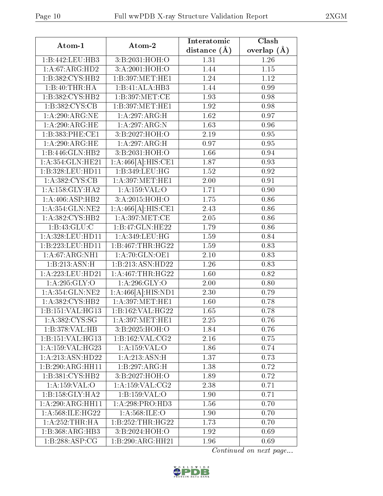| Atom-1              | Atom-2                      | Interatomic       | Clash         |
|---------------------|-----------------------------|-------------------|---------------|
|                     |                             | distance $(\AA)$  | overlap $(A)$ |
| 1:B:442:LEU:HB3     | 3:B:2031:HOH:O              | 1.31              | 1.26          |
| 1: A:67: ARG:HD2    | 3:A:2001:HOH:O              | 1.44              | $1.15\,$      |
| 1:B:382:CYS:HB2     | 1:B:397:MET:HE1             | 1.24              | 1.12          |
| 1:B:40:THR:HA       | 1:B:41:ALA:HB3              | 1.44              | 0.99          |
| 1:B:382:CYS:HB2     | 1:B:397:MET:CE              | 1.93              | 0.98          |
| 1:B:382:CYS:CB      | 1:B:397:MET:HE1             | 1.92              | 0.98          |
| 1: A:290:ARG:NE     | 1:A:297:ARG:H               | 1.62              | 0.97          |
| 1: A:290:ARG:HE     | 1:A:297:ARG:N               | 1.63              | 0.96          |
| 1:B:383:PHE:CE1     | 3:B:2027:HOH:O              | 2.19              | 0.95          |
| 1: A:290:ARG:HE     | 1:A:297:ARG:H               | 0.97              | 0.95          |
| 1:B:446:GLN:HB2     | 3:B:2031:HOH:O              | 1.66              | 0.94          |
| 1:A:354:GLN:HE21    | 1:A:466[A]:HIS:CE1          | 1.87              | 0.93          |
| 1:B:328:LEU:HD11    | 1:B:349:LEU:HG              | 1.52              | 0.92          |
| 1:A:382:CYS:CB      | 1: A:397: MET:HE1           | 2.00              | 0.91          |
| 1: A: 158: GLY: HA2 | 1:A:159:VAL:O               | 1.71              | 0.90          |
| 1: A:406: ASP:HB2   | 3:A:2015:HOH:O              | 1.75              | 0.86          |
| 1:A:354:GLN:NE2     | 1:A:466[A]:HIS:CE1          | 2.43              | 0.86          |
| 1:A:382:CYS:HB2     | 1: A:397: MET:CE            | 2.05              | 0.86          |
| 1: B: 43: GLU: C    | 1:B:47:GLN:HE22             | 1.79              | 0.86          |
| 1: A:328:LEU:HD11   | 1: A:349: LEU: HG           | 1.59              | 0.84          |
| 1:B:223:LEU:HD11    | 1:B:467:THR:HG22            | 1.59              | 0.83          |
| 1: A:67: ARG: NH1   | 1:A:70:GLN:OE1              | 2.10              | 0.83          |
| 1:B:213:ASN:H       | 1:B:213:ASN:HD22            | 1.26              | 0.83          |
| 1: A:223:LEU:HD21   | 1:A:467:THR:HG22            | 1.60              | 0.82          |
| 1: A:295: GLY:O     | 1: A:296: GLY:O             | $\overline{2.00}$ | 0.80          |
| 1:A:354:GLN:NE2     | 1:A:466[A]:HIS:ND1          | 2.30              | 0.79          |
| 1:A:382:CYS:HB2     | 1: A:397: MET:HE1           | 1.60              | 0.78          |
| 1:B:151:VAL:HG13    | 1:B:162:VAL:HG22            | 1.65              | 0.78          |
| 1:A:382:CYS:SG      | 1: A:397: MET:HE1           | 2.25              | 0.76          |
| 1:B:378:VAL:HB      | 3:B:2025:HOH:O              | 1.84              | 0.76          |
| 1:B:151:VAL:HG13    | $1:B:162:VAL$ : $CG2$       | 2.16              | 0.75          |
| 1:A:159:VAL:HG23    | 1:A:159:VAL:O               | 1.86              | 0.74          |
| 1: A:213: ASN:HD22  | 1: A: 213: ASN:H            | 1.37              | 0.73          |
| 1:B:290:ARG:HH11    | 1:B:297:ARG:H               | 1.38              | 0.72          |
| 1:B:381:CYS:HB2     | 3:B:2027:HOH:O              | 1.89              | 0.72          |
| 1: A: 159: VAL: O   | 1: A: 159: VAL: CG2         | 2.38              | 0.71          |
| 1:B:158:GLY:HA2     | 1:B:159:VAL:O               | 1.90              | 0.71          |
| 1:A:290:ARG:HH11    | 1:A:298:PRO:H <sub>D3</sub> | 1.56              | 0.70          |
| 1: A:568: ILE: HG22 | 1: A:568: ILE: O            | 1.90              | 0.70          |
| 1:A:252:THR:HA      | 1:B:252:THR:HG22            | 1.73              | 0.70          |
| 1:B:368:ARG:HB3     | 3:B:2024:HOH:O              | 1.92              | 0.69          |
| 1:B:288:ASP:CG      | 1:B:290:ARG:HH21            | 1.96              | 0.69          |

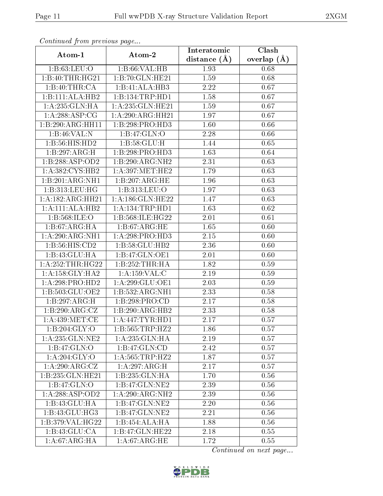| Continueu from previous page |                             | Interatomic    | Clash         |
|------------------------------|-----------------------------|----------------|---------------|
| Atom-1                       | Atom-2                      | distance $(A)$ | overlap $(A)$ |
| 1:B:63:LEU:O                 | 1:B:66:VAL:HB               | 1.93           | 0.68          |
| 1:B:40:THR:HG21              | 1:B:70:GLN:HE21             | 1.59           | 0.68          |
| 1:B:40:THR:CA                | 1:B:41:ALA:HB3              | 2.22           | 0.67          |
| 1:B:111:ALA:HB2              | 1:B:134:TRP:HD1             | 1.58           | 0.67          |
| 1:A:235:GLN:HA               | 1:A:235:GLN:HE21            | 1.59           | 0.67          |
| 1: A:288:ASP:CG              | 1:A:290:ARG:HH21            | 1.97           | 0.67          |
| 1:B:290:ARG:HH11             | 1:B:298:PRO:HD3             | 1.60           | 0.66          |
| 1:B:46:VAL:N                 | 1:B:47:GLN:O                | 2.28           | 0.66          |
| 1:B:56:HIS:HD2               | 1: B:58: GLU:H              | 1.44           | 0.65          |
| 1:B:297:ARG:H                | 1:B:298:PRO:HD3             | 1.63           | 0.64          |
| 1:B:288:ASP:OD2              | 1:B:290:ARG:NH2             | 2.31           | 0.63          |
| 1:A:382:CYS:HB2              | 1: A:397: MET:HE2           | 1.79           | 0.63          |
| 1:B:201:ARG:NH1              | 1:B:207:ARG:HE              | 1.96           | 0.63          |
| 1:B:313:LEU:HG               | 1:B:313:LEU:O               | 1.97           | 0.63          |
| 1:A:182:ARG:HH21             | 1:A:186:GLN:HE22            | 1.47           | 0.63          |
| 1:A:111:ALA:HB2              | 1: A: 134: TRP: HD1         | 1.63           | 0.62          |
| 1:B:568:ILE:O                | 1:B:568:ILE:HG22            | 2.01           | 0.61          |
| 1:B:67:ARG:HA                | 1: B:67: ARG: HE            | 1.65           | 0.60          |
| 1:A:290:ARG:NH1              | 1:A:298:PRO:HD3             | 2.15           | 0.60          |
| 1: B:56: HIS: CD2            | $1:B:58:GLU:H\overline{B2}$ | 2.36           | 0.60          |
| 1:B:43:GLU:HA                | 1:B:47:GLN:OE1              | 2.01           | 0.60          |
| 1: A: 252: THR: HG22         | 1:B:252:THR:H               | 1.82           | 0.59          |
| 1: A: 158: GLY: HA2          | 1:A:159:VAL:C               | 2.19           | 0.59          |
| 1:A:298:PRO:HD2              | 1:A:299:GLU:OE1             | 2.03           | 0.59          |
| 1:B:503:GLU:OE2              | 1:B:532:ARG:NH1             | 2.33           | 0.58          |
| 1:B:297:ARG:H                | 1:B:298:PRO:CD              | 2.17           | 0.58          |
| 1:B:290:ARG:CZ               | 1:B:290:ARG:HB2             | 2.33           | 0.58          |
| 1:A:439:MET:CE               | 1: A:447:TYR:HD1            | 2.17           | 0.57          |
| 1:B:204:GLY:O                | 1:B:565:TRP:HZ2             | 1.86           | 0.57          |
| 1: A: 235: GLN: NE2          | 1:A:235:GLN:HA              | 2.19           | 0.57          |
| 1:B:47:GLN:O                 | 1:B:47:GLN:CD               | 2.42           | 0.57          |
| 1: A:204: GLY:O              | 1: A:565:TRP:HZ2            | 1.87           | 0.57          |
| 1:A:290:ARG:CZ               | 1:A:297:ARG:H               | 2.17           | 0.57          |
| 1:B:235:GLN:HE21             | 1:B:235:GLN:HA              | 1.70           | 0.56          |
| 1:B:47:GLN:O                 | 1:B:47:GLN:NE2              | 2.39           | 0.56          |
| 1:A:288:ASP:OD2              | 1:A:290:ARG:NH2             | 2.39           | 0.56          |
| 1:B:43:GLU:HA                | 1:B:47:GLN:NE2              | 2.20           | 0.56          |
| 1:B:43:GLU:HG3               | 1:B:47:GLN:NE2              | 2.21           | 0.56          |
| 1:B:379:VAL:HG22             | 1:B:454:ALA:HA              | 1.88           | 0.56          |
| 1:B:43:GLU:CA                | 1:B:47:GLN:HE22             | 2.18           | 0.55          |
| 1: A:67: ARG: HA             | 1: A:67: ARG: HE            | 1.72           | 0.55          |

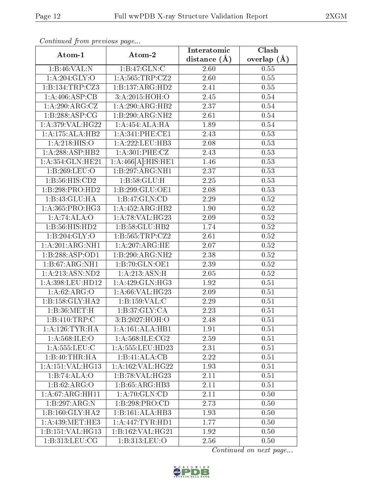| Continuea from previous page                 |                     | Interatomic       | Clash             |
|----------------------------------------------|---------------------|-------------------|-------------------|
| Atom-1                                       | Atom-2              | distance $(\AA)$  | overlap $(A)$     |
| 1:B:46:VAL:N                                 | 1:B:47:GLN:C        | 2.60              | 0.55              |
| 1: A:204: GLY:O                              | 1:A:565:TRP:CZ2     | 2.60              | $\overline{0.55}$ |
| 1:B:134:TRP:CZ3                              | 1:B:137:ARG:HD2     | 2.41              | 0.55              |
| 1: A:406: ASP:CB                             | 3:A:2015:HOH:O      | 2.45              | 0.54              |
| 1: A:290:ARG:CZ                              | 1:A:290:ARG:HB2     | 2.37              | 0.54              |
| 1:B:288:ASP:CG                               | 1:B:290:ARG:NH2     | 2.61              | 0.54              |
| 1:A:379:VAL:HG22                             | 1:A:454:ALA:HA      | 1.89              | 0.54              |
| 1:A:175:ALA:HB2                              | 1: A:341: PHE:CE1   | 2.43              | 0.53              |
| 1: A:218: HIS:O                              | 1: A: 222: LEU: HB3 | 2.08              | 0.53              |
| 1:A:288:ASP:HB2                              | 1: A:301: PHE: CZ   | 2.43              | 0.53              |
| 1: A:354: GLN: HE21                          | 1:A:466[A]:HIS:HE1  | 1.46              | 0.53              |
| 1:B:269:LEU:O                                | 1:B:297:ARG:NH1     | 2.37              | 0.53              |
| 1: B:56: HIS: CD2                            | 1: B:58: GLU: H     | 2.25              | 0.53              |
| 1:B:298:PRO:HD2                              | 1:B:299:GLU:OE1     | 2.08              | 0.53              |
| 1:B:43:GLU:HA                                | 1:B:47:GLN:CD       | 2.29              | $0.52\,$          |
| 1: A: 365: PRO:HG3                           | 1:A:452:ARG:HB2     | 1.90              | 0.52              |
| 1:A:74:ALA:O                                 | 1:A:78:VAL:HG23     | 2.09              | 0.52              |
| 1:B:56:HIS:HD2                               | 1:B:58:GLU:HB2      | 1.74              | 0.52              |
| 1:B:204:GLY:O                                | 1:B:565:TRP:CZ2     | 2.61              | $0.52\,$          |
| 1:A:201:ARG:NH1                              | 1: A:207: ARG: HE   | 2.07              | 0.52              |
| 1:B:288:ASP:OD1                              | 1:B:290:ARG:NH2     | 2.38              | 0.52              |
| 1:B:67:ARG:NH1                               | 1:B:70:GLN:OE1      | 2.39              | 0.52              |
| 1: A:213: ASN:ND2                            | 1: A:213: ASN:H     | 2.05              | 0.52              |
| 1:A:398:LEU:HD12                             | 1:A:429:GLN:HG3     | 1.92              | 0.51              |
| 1: A:62: ARG:O                               | 1: A:66: VAL:HG23   | 2.09              | 0.51              |
| 1:B:158:GLY:HA2                              | 1:B:159:VAL:C       | $\overline{2}.29$ | 0.51              |
| 1:B:36:MET:H                                 | 1:B:37:GLY:CA       | 2.23              | 0.51              |
| 1:B:410:TRP:C                                | 3:B:2027:HOH:O      | $2.48\,$          | 0.51              |
| 1: A:126:TYR:HA                              | 1:A:161:ALA:HB1     | 1.91              | 0.51              |
| 1: A: 568: ILE: O                            | 1: A:568: ILE: CG2  | 2.59              | 0.51              |
| $1: A: 555:$ LEU:C                           | 1:A:555:LEU:HD23    | 2.31              | 0.51              |
| 1:B:40:THR:HA                                | 1:B:41:ALA:CB       | 2.22              | 0.51              |
| 1: A: 151: VAL: HG13                         | 1:A:162:VAL:HG22    | 1.93              | 0.51              |
| 1:B:74:ALA:O                                 | 1:B:78:VAL:HG23     | 2.11              | 0.51              |
| 1: B:62: ARG:O                               | 1: B:65: ARG:HB3    | 2.11              | 0.51              |
| 1: A.67: ARG:HH11                            | 1: A:70: GLN:CD     | 2.11              | 0.50              |
| 1:B:297:ARG:N                                | 1:B:298:PRO:CD      | 2.73              | 0.50              |
| 1:B:160:GLY:HA2                              | 1:B:161:ALA:HB3     | 1.93              | 0.50              |
| 1: A:439:MET:HES                             | 1:A:447:TYR:HD1     | 1.77              | 0.50              |
| 1:B:151:VAL:HG13                             | 1:B:162:VAL:HG21    | 1.92              | 0.50              |
| $1: B:313: \overline{\text{LEU}: \text{CG}}$ | 1:B:313:LEU:O       | 2.56              | 0.50              |

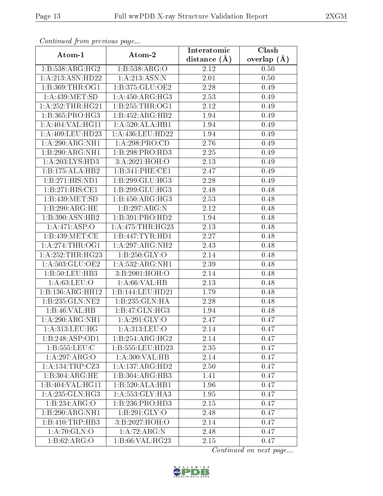| Continual from previous page |                                    | Interatomic       | Clash           |
|------------------------------|------------------------------------|-------------------|-----------------|
| Atom-1                       | Atom-2                             | distance $(A)$    | overlap $(\AA)$ |
| 1:B:538:ARG:HG2              | 1:B:538:ARG:O                      | 2.12              | 0.50            |
| 1:A:213:ASN:HD22             | 1: A:213: ASN:N                    | 2.01              | 0.50            |
| 1:B:369:THR:OG1              | 1:B:375:GLU:OE2                    | 2.28              | 0.49            |
| 1:A:439:MET:SD               | 1: A:450:ARG:HG3                   | 2.53              | 0.49            |
| 1: A:252:THR:HG21            | 1: B: 255: THR:OG1                 | 2.12              | 0.49            |
| 1:B:365:PRO:HG3              | 1:B:452:ARG:HB2                    | 1.94              | 0.49            |
| 1:A:404:VAL:HG11             | 1:A:520:ALA:HB1                    | 1.94              | 0.49            |
| 1:A:409:LEU:HD23             | $1:$ A:436:LEU:HD22                | 1.94              | 0.49            |
| 1:A:290:ARG:NH1              | 1:A:298:PRO:CD                     | 2.76              | 0.49            |
| 1:B:290:ARG:NH1              | 1:B:298:PRO:HD3                    | 2.25              | 0.49            |
| 1:A:203:LYS:HD3              | 3:A:2021:HOH:O                     | 2.13              | 0.49            |
| 1:B:175:ALA:HB2              | 1:B:341:PHE:CE1                    | 2.47              | 0.49            |
| 1:B:271:HIS:ND1              | 1:B:299:GLU:HG3                    | 2.28              | 0.49            |
| 1:B:271:HIS:CE1              | $1:B:299:GLU:\overline{HG3}$       | 2.48              | 0.48            |
| 1:B:439:MET:SD               | 1: B:450: ARG:HG3                  | 2.53              | 0.48            |
| 1:B:290:ARG:HE               | 1:B:297:ARG:N                      | 2.12              | 0.48            |
| 1:B:390:ASN:HB2              | 1:B:391:PRO:HD2                    | $\overline{1.94}$ | 0.48            |
| 1:A:471:ASP:O                | 1: A:475:THR:HG23                  | 2.13              | 0.48            |
| 1:B:439:MET:CE               | 1:B:447:TYR:HDI                    | 2.27              | 0.48            |
| 1: A:274:THR:OG1             | 1:A:297:ARG:NH2                    | 2.43              | 0.48            |
| 1: A: 252: THR: HG23         | 1: B: 250: GLY:O                   | 2.14              | 0.48            |
| 1: A:503: GLU:OE2            | 1:A:532:ARG:NH1                    | 2.39              | 0.48            |
| 1:B:50:LEU:HB3               | 3:B:2001:HOH:O                     | 2.14              | 0.48            |
| 1: A:63:LEU:O                | 1: A:66: VAL:HB                    | 2.13              | 0.48            |
| 1:B:136:ARG:HH12             | 1:B:144:LEU:HD21                   | 1.79              | 0.48            |
| 1:B:235:GLN:NE2              | 1:B:235:GLN:HA                     | 2.28              | 0.48            |
| 1:B:46:VAL:HB                | 1:B:47:GLN:HG3                     | 1.94              | 0.48            |
| 1:A:290:ARG:NH1              | 1: A:291: GLY:O                    | 2.47              | 0.47            |
| 1: A: 313: LEU: HG           | 1: A:313: LEU:O                    | 2.14              | 0.47            |
| 1:B:248:ASP:OD1              | 1:B:254:ARG:HG2                    | 2.14              | 0.47            |
| 1: B: 555: LEU: C            | 1:B:555:LEU:HD23                   | 2.35              | 0.47            |
| 1:A:297:ARG:O                | $1:A:300:\overline{\text{VAL:HB}}$ | 2.14              | 0.47            |
| 1:A:134:TRP:CZ3              | 1:A:137:ARG:HD2                    | 2.50              | 0.47            |
| 1:B:304:ARG:HE               | 1:B:304:ARG:HB3                    | 1.41              | 0.47            |
| 1:B:404:VAL:HG11             | 1:B:520:ALA:HB1                    | 1.96              | 0.47            |
| 1:A:235:GLN:HG3              | 1: A: 553: GLY: HA3                | 1.95              | 0.47            |
| 1:B:234:ARG:O                | 1:B:236:PRO:HD3                    | 2.15              | 0.47            |
| 1:B:290:ARG:NH1              | 1: B:291: GLY:O                    | 2.48              | 0.47            |
| 1:B:410:TRP:HB3              | 3:B:2027:HOH:O                     | 2.14              | 0.47            |
| 1:A:70:GLN:O                 | 1:A:72:ARG:N                       | 2.48              | 0.47            |
| 1: B:62: ARG:O               | 1:B:66:VAL:HG23                    | 2.15              | 0.47            |

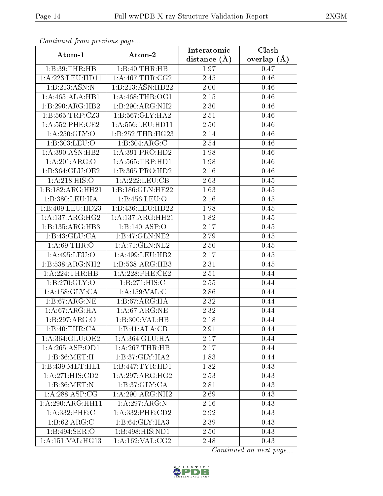| Continueu from previous page |                     | Interatomic       | $\overline{\text{Clash}}$ |
|------------------------------|---------------------|-------------------|---------------------------|
| Atom-1                       | Atom-2              | distance $(A)$    | overlap $(\AA)$           |
| 1:B:39:THR:HB                | 1:B:40:THR:HB       | 1.97              | 0.47                      |
| 1: A:223:LEU:HD11            | 1: A:467:THR:CG2    | 2.45              | 0.46                      |
| 1:B:213:ASN:N                | 1:B:213:ASN:HD22    | 2.00              | 0.46                      |
| 1:A:465:ALA:HB1              | 1: A:468:THR:OG1    | 2.15              | 0.46                      |
| 1:B:290:ARG:HB2              | 1:B:290:ARG:NH2     | 2.30              | 0.46                      |
| 1:B:565:TRP:CZ3              | 1:B:567:GLY:HA2     | 2.51              | 0.46                      |
| 1: A: 552: PHE: CE2          | 1:A:556:LEU:HD11    | 2.50              | 0.46                      |
| 1: A:250: GLY:O              | 1:B:252:THR:HG23    | 2.14              | 0.46                      |
| 1:B:303:LEU:O                | 1:B:304:ARG:C       | 2.54              | 0.46                      |
| 1:A:390:ASN:HB2              | 1:A:391:PRO:HD2     | 1.98              | 0.46                      |
| 1:A:201:ARG:O                | 1: A: 565: TRP: HD1 | 1.98              | 0.46                      |
| 1:B:364:GLU:OE2              | 1:B:365:PRO:HD2     | 2.16              | 0.46                      |
| 1:A:218:HIS:O                | 1:A:222:LEU:CB      | 2.63              | 0.45                      |
| 1:B:182:ARG:HH21             | 1:B:186:GLN:HE22    | 1.63              | 0.45                      |
| 1:B:380:LEU:HA               | 1:B:456:LEU:O       | 2.16              | 0.45                      |
| 1:B:409:LEU:HD23             | 1:B:436:LEU:HD22    | 1.98              | 0.45                      |
| 1:A:137:ARG:HG2              | 1:A:137:ARG:HH21    | 1.82              | 0.45                      |
| 1:B:135:ARG:HB3              | 1:B:140:ASP:O       | 2.17              | 0.45                      |
| 1:B:43:GLU:CA                | 1:B:47:GLN:NE2      | 2.79              | 0.45                      |
| 1: A:69:THR:O                | 1:A:71:GLN:NE2      | 2.50              | 0.45                      |
| 1: A:495: LEU:O              | 1:A:499:LEU:HB2     | $\overline{2.17}$ | 0.45                      |
| 1:B:538:ARG:NH2              | 1:B:538:ARG:HB3     | 2.31              | 0.45                      |
| 1:A:224:THR:HB               | $1: A:228:$ PHE:CE2 | 2.51              | 0.44                      |
| 1: B:270: GLY:O              | 1:B:271:HIS:C       | 2.55              | 0.44                      |
| 1: A: 158: GLY: CA           | 1:A:159:VAL:C       | 2.86              | 0.44                      |
| 1: B:67: ARG:NE              | 1:B:67:ARG:HA       | 2.32              | 0.44                      |
| 1: A:67: ARG: HA             | 1: A:67: ARG: NE    | 2.32              | 0.44                      |
| 1:B:297:ARG:O                | 1:B:300:VAL:HB      | 2.18              | 0.44                      |
| 1:B:40:THR:CA                | 1:B:41:ALA:CB       | 2.91              | 0.44                      |
| 1:A:364:GLU:OE2              | 1:A:364:GLU:HA      | 2.17              | 0.44                      |
| 1:A:265:ASP:OD1              | 1:A:267:THR:HB      | 2.17              | 0.44                      |
| 1:B:36:MET:H                 | 1:B:37:GLY:HA2      | 1.83              | 0.44                      |
| 1:B:439:MET:HE1              | 1:B:447:TYR:HDI     | 1.82              | 0.43                      |
| 1:A:271:HIS:CD2              | 1:A:297:ARG:HG2     | 2.53              | 0.43                      |
| 1:B:36:MET:N                 | 1:B:37:GLY:CA       | 2.81              | 0.43                      |
| $1:A:28\overline{8:ASP:CG}$  | 1:A:290:ARG:NH2     | 2.69              | 0.43                      |
| 1:A:290:ARG:HH11             | 1: A:297: ARG: N    | 2.16              | 0.43                      |
| 1:A:332:PHE:C                | 1: A: 332: PHE: CD2 | 2.92              | 0.43                      |
| 1: B:62: ARG:C               | 1:B:64:GLY:HA3      | 2.39              | 0.43                      |
| 1:B:494:SER:O                | 1:B:498:HIS:ND1     | 2.50              | 0.43                      |
| 1:A:151:VAL:HG13             | 1:A:162:VAL:CG2     | 2.48              | 0.43                      |

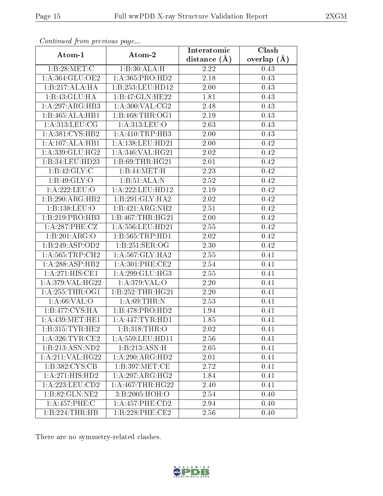| Continuou jiom protivus pugo |                     | Interatomic       | Clash         |
|------------------------------|---------------------|-------------------|---------------|
| Atom-1                       | Atom-2              | distance $(A)$    | overlap $(A)$ |
| 1:B:28:MET:C                 | 1:B:30:ALA:H        | 2.22              | 0.43          |
| 1:A:364:GLU:OE2              | 1:A:365:PRO:HD2     | $\overline{2.18}$ | 0.43          |
| 1:B:217:ALA:HA               | 1:B:253:LEU:HDI2    | $2.00\,$          | 0.43          |
| 1:B:43:GLU:HA                | 1:B:47:GLN:HE22     | 1.81              | 0.43          |
| 1:A:297:ARG:HB3              | 1: A:300: VAL: CG2  | 2.48              | 0.43          |
| 1:B:465:ALA:HB1              | 1: B:468: THR:OG1   | 2.19              | 0.43          |
| 1: A:313: LEU: CG            | 1: A:313: LEU:O     | 2.63              | 0.43          |
| 1: A:381: CYS:HB2            | 1:A:410:TRP:HB3     | 2.00              | 0.43          |
| 1:A:107:ALA:HB1              | 1:A:138:LEU:HD21    | 2.00              | 0.42          |
| 1:A:339:GLU:HG2              | 1:A:346:VAL:HG21    | 2.02              | 0.42          |
| 1:B:34:LEU:HD23              | 1: B:69:THR:HG21    | 2.01              | 0.42          |
| 1: B: 42: GLY: C             | 1:B:44:MET:H        | 2.23              | 0.42          |
| 1: B:49: GLY:O               | 1:B:51:ALA:N        | 2.52              | 0.42          |
| 1:A:222:LEU:O                | 1:A:222:LEU:HD12    | 2.19              | 0.42          |
| 1:B:290:ARG:HB2              | 1:B:291:GLY:HA2     | 2.02              | 0.42          |
| 1:B:138:LEU:O                | 1:B:421:ARG:NH2     | 2.51              | 0.42          |
| 1:B:219:PRO:HB3              | 1:B:467:THR:HG21    | 2.00              | 0.42          |
| 1:A:287:PHE:CZ               | 1:A:556:LEU:HD21    | 2.55              | 0.42          |
| 1:B:201:ARG:O                | 1:B:565:TRP:HD1     | 2.02              | 0.42          |
| 1:B:249:ASP:OD2              | 1: B: 251: SER: OG  | 2.30              | 0.42          |
| 1: A:565:TRP:CH2             | 1: A:567: GLY:HA2   | 2.55              | 0.41          |
| 1:A:288:ASP:HB2              | 1: A:301: PHE:CE2   | 2.54              | 0.41          |
| 1:A:271:HIS:CE1              | 1: A:299: GLU:HG3   | 2.55              | 0.41          |
| 1:A:379:VAL:HG22             | 1: A:379: VAL:O     | 2.20              | 0.41          |
| 1: A:255:THR:OG1             | 1:B:252:THR:HG21    | 2.20              | 0.41          |
| 1: A:66: VAL:O               | 1: A:69:THR:N       | 2.53              | 0.41          |
| 1:B:477:CYS:HA               | 1:B:478:PRO:HD2     | 1.94              | 0.41          |
| 1: A:439:MET:HE1             | 1:A:447:TYR:HD1     | 1.85              | 0.41          |
| 1:B:315:TYR:HE2              | 1:B:318:THR:O       | 2.02              | 0.41          |
| 1: A:326:TYR:CE2             | 1:A:559:LEU:HD11    | 2.56              | 0.41          |
| 1:B:213:ASN:ND2              | 1:B:213:ASN:H       | 2.05              | 0.41          |
| 1:A:211:VAL:HG22             | 1:A:290:ARG:HD2     | 2.01              | 0.41          |
| 1:B:382:CYS:CB               | 1: B: 397: MET:CE   | 2.72              | 0.41          |
| 1:A:271:HIS:HD2              | 1:A:297:ARG:HG2     | 1.84              | 0.41          |
| 1:A:223:LEU:CD2              | 1: A:467:THR:HG22   | 2.40              | 0.41          |
| 1:B:82:GLN:NE2               | 3:B:2005:HOH:O      | 2.54              | 0.40          |
| 1:A:457:PHE:C                | 1: A: 457: PHE: CD2 | 2.94              | 0.40          |
| 1:B:224:THR:HB               | 1:B:228:PHE:CE2     | 2.56              | 0.40          |

There are no symmetry-related clashes.

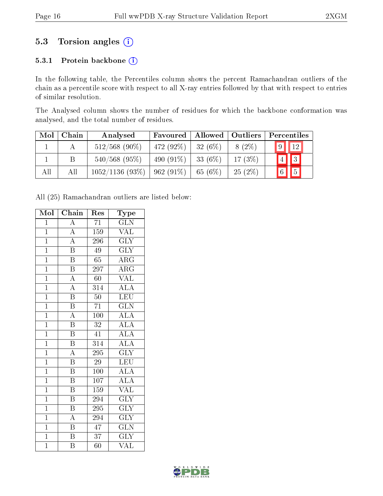## 5.3 Torsion angles (i)

#### 5.3.1 Protein backbone (i)

In the following table, the Percentiles column shows the percent Ramachandran outliers of the chain as a percentile score with respect to all X-ray entries followed by that with respect to entries of similar resolution.

The Analysed column shows the number of residues for which the backbone conformation was analysed, and the total number of residues.

| Mol | Chain | Analysed        | Favoured    | Allowed   Outliers |           | Percentiles            |
|-----|-------|-----------------|-------------|--------------------|-----------|------------------------|
|     |       | $512/568$ (90%) | $472(92\%)$ | 32(6%)             | $8(2\%)$  | $\sqrt{9}$ $\sqrt{12}$ |
|     |       | $540/568$ (95%) | 490 (91\%)  | $-33(6%)$          | 17(3%)    | 4 3                    |
| All | Αll   | 1052/1136(93%)  | $962(91\%)$ | 65(6%)             | $25(2\%)$ | $6$   $5$              |

All (25) Ramachandran outliers are listed below:

| Mol            | Chain                   | Res              | $_{\rm Type}$           |
|----------------|-------------------------|------------------|-------------------------|
| $\overline{1}$ | $\overline{A}$          | $\overline{71}$  | $\overline{\text{GLN}}$ |
| $\overline{1}$ | $\boldsymbol{A}$        | $\overline{1}59$ | <b>VAL</b>              |
| $\overline{1}$ | $\overline{A}$          | 296              | $\overline{\text{GLY}}$ |
| $\overline{1}$ | $\overline{\mathrm{B}}$ | 49               | <b>GLY</b>              |
| $\overline{1}$ | B                       | 65               | $\rm{ARG}$              |
| $\overline{1}$ | $\overline{\mathrm{B}}$ | 297              | $\overline{\rm{ARG}}$   |
| $\overline{1}$ | $\overline{A}$          | 60               | <b>VAL</b>              |
| $\overline{1}$ | $\overline{A}$          | $\overline{314}$ | <b>ALA</b>              |
| $\overline{1}$ | $\overline{\mathrm{B}}$ | 50               | $\overline{\text{LEU}}$ |
| $\overline{1}$ | $\overline{\mathrm{B}}$ | $\overline{71}$  | $\overline{\text{GLN}}$ |
| $\mathbf{1}$   | $\overline{\rm A}$      | 100              | $\overline{\rm ALA}$    |
| $\overline{1}$ | $\, {\bf B}$            | 32               | ALA                     |
| $\overline{1}$ | $\overline{\mathrm{B}}$ | $\overline{41}$  | ALA                     |
| $\overline{1}$ | $\overline{\mathrm{B}}$ | 314              | $\overline{\text{ALA}}$ |
| $\overline{1}$ | $\overline{\rm A}$      | $\overline{295}$ | $\overline{\text{GLY}}$ |
| $\overline{1}$ | $\, {\bf B}$            | $\sqrt{29}$      | LEU                     |
| $\overline{1}$ | $\overline{\mathrm{B}}$ | $\overline{100}$ | $\overline{\rm ALA}$    |
| $\overline{1}$ | $\overline{\mathrm{B}}$ | 107              | $\overline{\rm ALA}$    |
| $\overline{1}$ | $\overline{B}$          | 159              | <b>VAL</b>              |
| $\overline{1}$ | $\overline{\mathrm{B}}$ | 294              | $\overline{\text{GLY}}$ |
| $\overline{1}$ | Β                       | 295              | $\overline{\text{GLY}}$ |
| $\overline{1}$ | $\overline{\rm A}$      | 294              | <b>GLY</b>              |
| $\overline{1}$ | $\overline{\mathbf{B}}$ | $\overline{47}$  | $\widetilde{{\rm GLN}}$ |
| $\overline{1}$ | $\overline{\mathrm{B}}$ | 37               | <b>GLY</b>              |
| $\overline{1}$ | Β                       | $\overline{60}$  | $\overline{\text{VAL}}$ |

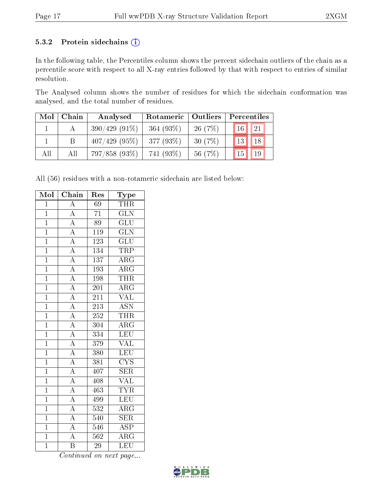#### 5.3.2 Protein sidechains (i)

In the following table, the Percentiles column shows the percent sidechain outliers of the chain as a percentile score with respect to all X-ray entries followed by that with respect to entries of similar resolution.

The Analysed column shows the number of residues for which the sidechain conformation was analysed, and the total number of residues.

| Mol | Chain | Analysed        | Rotameric   Outliers |         | Percentiles       |
|-----|-------|-----------------|----------------------|---------|-------------------|
|     |       | $390/429(91\%)$ | 364 $(93%)$          | 26(7%)  | $\sqrt{21}$<br>16 |
|     |       | $407/429$ (95%) | 377 (93%)            | 30(7%)  | 18<br>13          |
| All | All   | 797/858 (93%)   | 741 (93%)            | 56 (7%) | 19<br>15          |

All (56) residues with a non-rotameric sidechain are listed below:

| Mol            | Chain                               | Res              | Type                    |
|----------------|-------------------------------------|------------------|-------------------------|
| $\overline{1}$ | $\overline{A}$                      | 69               | <b>THR</b>              |
| $\overline{1}$ | $\overline{A}$                      | $\overline{71}$  | $\overline{\text{GLN}}$ |
| $\overline{1}$ | $\overline{A}$                      | $\overline{89}$  | $\overline{\text{GLU}}$ |
| $\overline{1}$ | $\overline{A}$                      | <b>119</b>       | $\overline{\text{GLN}}$ |
| $\overline{1}$ | $\overline{A}$                      | $\overline{123}$ | $\overline{\text{GLU}}$ |
| $\overline{1}$ | $\overline{A}$                      | 134              | TRP                     |
| $\overline{1}$ | $\overline{A}$                      | $\overline{137}$ | $\overline{\rm{ARG}}$   |
| $\overline{1}$ | $\overline{A}$                      | 193              | $\overline{\text{ARG}}$ |
| $\overline{1}$ | $\overline{A}$                      | 198              | <b>THR</b>              |
| $\overline{1}$ | $\overline{A}$                      | 201              | $\overline{\text{ARG}}$ |
| $\overline{1}$ | $\overline{A}$                      | $\overline{211}$ | <b>VAL</b>              |
| $\overline{1}$ | $\overline{A}$                      | 213              | <b>ASN</b>              |
| $\overline{1}$ | $\overline{A}$                      | $\overline{252}$ | <b>THR</b>              |
| $\overline{1}$ | $\overline{A}$                      | $\overline{304}$ | $\overline{\rm ARG}$    |
| $\overline{1}$ | $\overline{A}$                      | 334              | LEU                     |
| $\overline{1}$ | $\frac{1}{\mathbf{A}}$              | 379              | $\overline{\text{VAL}}$ |
| $\overline{1}$ | $\overline{A}$                      | 380              | LEU                     |
| $\overline{1}$ | $\overline{A}$                      | 381              | $\overline{\text{CYS}}$ |
| $\overline{1}$ | $\overline{A}$                      | 407              | $\overline{\text{SER}}$ |
| $\overline{1}$ | $\overline{A}$                      | 408              | $\overline{\text{VAL}}$ |
| $\overline{1}$ | $\frac{1}{\mathbf{A}}$              | 463              | <b>TYR</b>              |
| $\overline{1}$ | $\frac{\overline{A}}{\overline{A}}$ | 499              | LEU                     |
| $\overline{1}$ |                                     | $\overline{532}$ | $\overline{\rm{ARG}}$   |
| $\overline{1}$ | $\overline{A}$                      | 540              | $\overline{\text{SER}}$ |
| $\overline{1}$ | $\overline{A}$                      | 546              | $\overline{\text{ASP}}$ |
| $\overline{1}$ | $\overline{A}$                      | $\overline{562}$ | $\overline{\rm ARG}$    |
| $\overline{1}$ | $\overline{\mathrm{B}}$             | 29               | LEU                     |

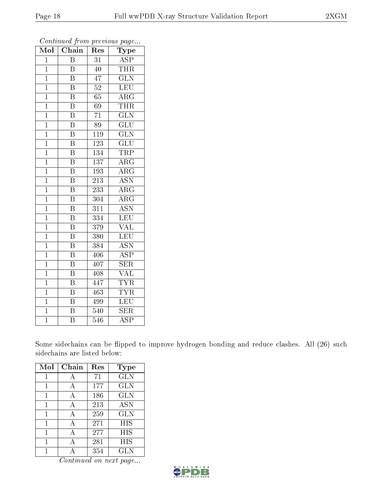| Mol            | $\overline{\text{Chain}}$ | Res              | ${\rm \bar{T}ype}$      |
|----------------|---------------------------|------------------|-------------------------|
| $\overline{1}$ | $\overline{\mathrm{B}}$   | 31               | <b>ASP</b>              |
| $\overline{1}$ | $\overline{B}$            | 40               | <b>THR</b>              |
| $\mathbf{1}$   | $\overline{\mathrm{B}}$   | 47               | $\overline{\text{GLN}}$ |
| $\mathbf{1}$   | $\overline{\mathrm{B}}$   | $\overline{52}$  | LEU                     |
| $\mathbf{1}$   | $\overline{\mathrm{B}}$   | 65               | $\overline{\rm{ARG}}$   |
| $\mathbf 1$    | $\overline{\mathrm{B}}$   | 69               | THR                     |
| $\mathbf{1}$   | $\overline{\mathrm{B}}$   | 71               | $\overline{\text{GLN}}$ |
| $\mathbf{1}$   | $\overline{\mathrm{B}}$   | $\overline{89}$  | $\overline{\text{GLU}}$ |
| $\mathbf{1}$   | $\overline{\mathrm{B}}$   | $\overline{119}$ | $\overline{\text{GLN}}$ |
| $\overline{1}$ | $\overline{\mathrm{B}}$   | $\overline{123}$ | $\overline{\text{GLU}}$ |
| $\overline{1}$ | $\overline{\mathrm{B}}$   | 134              | <b>TRP</b>              |
| $\mathbf{1}$   | $\overline{\mathrm{B}}$   | $\overline{137}$ | $\rm{ARG}$              |
| $\mathbf 1$    | $\overline{\mathrm{B}}$   | 193              | $\rm{ARG}$              |
| $\mathbf{1}$   | $\, {\bf B}$              | $21\overline{3}$ | <b>ASN</b>              |
| $\overline{1}$ | $\overline{\mathrm{B}}$   | $\overline{233}$ | $\overline{\rm{ARG}}$   |
| $\mathbf{1}$   | $\overline{\mathrm{B}}$   | 304              | $\overline{\rm{ARG}}$   |
| $\overline{1}$ | $\overline{\mathrm{B}}$   | $\overline{311}$ | $\overline{\text{ASN}}$ |
| $\mathbf 1$    | $\overline{\mathrm{B}}$   | 334              | $\overline{\text{LEU}}$ |
| $\mathbf{1}$   | $\overline{\mathrm{B}}$   | 379              | $\rm \sqrt{AL}$         |
| $\mathbf{1}$   | $\overline{\mathbf{B}}$   | 380              | <b>LEU</b>              |
| $\mathbf{1}$   | $\overline{\mathrm{B}}$   | 384              | <b>ASN</b>              |
| $\mathbf 1$    | $\overline{\mathrm{B}}$   | 406              | $\overline{\text{ASP}}$ |
| $\overline{1}$ | $\overline{\mathrm{B}}$   | 407              | SER                     |
| $\overline{1}$ | $\overline{\mathrm{B}}$   | 408              | $\overline{\text{VAL}}$ |
| $\overline{1}$ | $\overline{\mathrm{B}}$   | 447              | <b>TYR</b>              |
| $\mathbf 1$    | $\overline{\mathrm{B}}$   | 463              | $\overline{\text{TYR}}$ |
| $\overline{1}$ | $\overline{\mathrm{B}}$   | 499              | $\overline{\text{LEU}}$ |
| $\mathbf 1$    | $\overline{\mathrm{B}}$   | 540              | <b>SER</b>              |
| $\overline{1}$ | $\overline{\mathrm{B}}$   | 546              | $\overline{\text{ASP}}$ |

Some sidechains can be flipped to improve hydrogen bonding and reduce clashes. All (26) such sidechains are listed below:

| Mol | Chain | Res | Type       |
|-----|-------|-----|------------|
| 1   | А     | 71  | <b>GLN</b> |
| 1   | А     | 177 | GLN        |
| 1   | А     | 186 | GLN        |
| 1   | A     | 213 | <b>ASN</b> |
| 1   | А     | 259 | GLN        |
| 1   | А     | 271 | HIS        |
| 1   | А     | 277 | HIS        |
| 1   | А     | 281 | HIS        |
|     |       | 354 | GLN        |

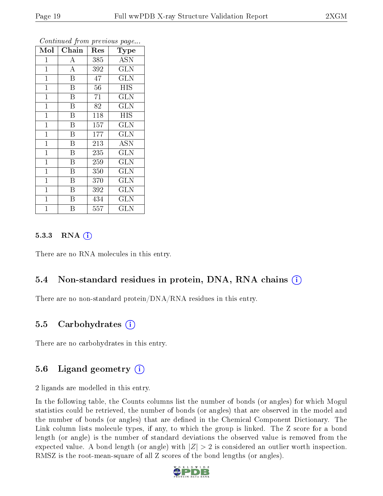| Mol            | Chain                   | Res | Type                    |
|----------------|-------------------------|-----|-------------------------|
| $\mathbf{1}$   | $\boldsymbol{A}$        | 385 | <b>ASN</b>              |
| $\mathbf{1}$   | $\overline{A}$          | 392 | $\overline{\text{GLN}}$ |
| $\mathbf{1}$   | $\overline{\mathbf{B}}$ | 47  | $\overline{\text{GLN}}$ |
| $\mathbf{1}$   | $\overline{\mathrm{B}}$ | 56  | <b>HIS</b>              |
| $\mathbf{1}$   | $\overline{\mathrm{B}}$ | 71  | GLN                     |
| $\mathbf{1}$   | $\overline{B}$          | 82  | <b>GLN</b>              |
| $\mathbf{1}$   | B                       | 118 | <b>HIS</b>              |
| $\mathbf{1}$   | B                       | 157 | GLN                     |
| $\mathbf{1}$   | $\overline{\mathrm{B}}$ | 177 | <b>GLN</b>              |
| $\mathbf{1}$   | $\overline{\mathbf{B}}$ | 213 | <b>ASN</b>              |
| $\mathbf{1}$   | $\overline{B}$          | 235 | <b>GLN</b>              |
| $\overline{1}$ | $\overline{\mathrm{B}}$ | 259 | <b>GLN</b>              |
| $\mathbf{1}$   | $\overline{B}$          | 350 | GLN                     |
| $\mathbf{1}$   | $\, {\bf B}$            | 370 | <b>GLN</b>              |
| $\mathbf 1$    | Β                       | 392 | GLN                     |
| $\mathbf{1}$   | Β                       | 434 | GLN                     |
| $\overline{1}$ | Β                       | 557 | $_{\rm GLN}$            |

#### 5.3.3 RNA (1)

There are no RNA molecules in this entry.

#### 5.4 Non-standard residues in protein, DNA, RNA chains (i)

There are no non-standard protein/DNA/RNA residues in this entry.

#### 5.5 Carbohydrates (i)

There are no carbohydrates in this entry.

#### 5.6 Ligand geometry  $(i)$

2 ligands are modelled in this entry.

In the following table, the Counts columns list the number of bonds (or angles) for which Mogul statistics could be retrieved, the number of bonds (or angles) that are observed in the model and the number of bonds (or angles) that are dened in the Chemical Component Dictionary. The Link column lists molecule types, if any, to which the group is linked. The Z score for a bond length (or angle) is the number of standard deviations the observed value is removed from the expected value. A bond length (or angle) with  $|Z| > 2$  is considered an outlier worth inspection. RMSZ is the root-mean-square of all Z scores of the bond lengths (or angles).

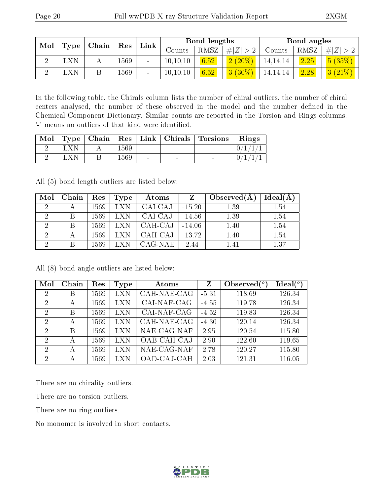| Mol | $\mid$ Type $\mid$ Chain $\mid$ |  | $\lfloor$ Link $\rfloor$ |        | $\perp$ Res |      |                 | Bond lengths |      |             | Bond angles |  |
|-----|---------------------------------|--|--------------------------|--------|-------------|------|-----------------|--------------|------|-------------|-------------|--|
|     |                                 |  |                          |        | Counts      | RMSZ | # $ Z  > 2$     | Counts       | RMSZ | $\# Z  > 2$ |             |  |
|     | <b>LXN</b>                      |  | 1569                     | $\sim$ | 10, 10, 10  | 6.52 | $2(20\%)$       | 14, 14, 14   | 2.25 | 5(35%)      |             |  |
|     | LXN                             |  | 1569                     |        | 10, 10, 10  | 6.52 | $^{+}$ 3 (30%). | 14,14,14     | 2.28 | (3 (21%)    |             |  |

In the following table, the Chirals column lists the number of chiral outliers, the number of chiral centers analysed, the number of these observed in the model and the number defined in the Chemical Component Dictionary. Similar counts are reported in the Torsion and Rings columns. '-' means no outliers of that kind were identified.

| $\text{Mol}$ |       |      |                 |                          | Type   Chain   Res   Link   Chirals   Torsions   Rings |  |
|--------------|-------|------|-----------------|--------------------------|--------------------------------------------------------|--|
|              | LXN   | 1569 | $\sim$          | <b>Contract Contract</b> | $\overline{\phantom{a}}$                               |  |
|              | L X N | 1569 | $\qquad \qquad$ |                          |                                                        |  |

All (5) bond length outliers are listed below:

| Mol                         | Chain        | Res  | Type | Atoms   | Z        | Observed $(A)$ | Ideal(A) |
|-----------------------------|--------------|------|------|---------|----------|----------------|----------|
| 2                           |              | 1569 | LXN. | CAI-CAJ | $-15.20$ | 1.39           | 1.54     |
| 2                           | B.           | 1569 | LXN  | CAI-CAJ | $-14.56$ | 1.39           | 1.54     |
| $\mathcal{D}_{\mathcal{A}}$ | <sup>B</sup> | 1569 | LXN  | CAH-CAJ | $-14.06$ | 1.40           | 1.54     |
| $\overline{2}$              |              | 1569 | LXN  | CAH-CAJ | $-13.72$ | 1.40           | 1.54     |
| ച                           | В            | 1569 |      | CAG-NAE | 2.44     | 1.41           | 1.37     |

All (8) bond angle outliers are listed below:

| Mol            | Chain | Res  | Type       | Atoms       | Z       | Observed $(^\circ)$ | $Ideal(^o)$ |
|----------------|-------|------|------------|-------------|---------|---------------------|-------------|
| 2              | Β     | 1569 | <b>LXN</b> | CAH-NAE-CAG | $-5.31$ | 118.69              | 126.34      |
| $\overline{2}$ | А     | 1569 | <b>LXN</b> | CAI-NAF-CAG | $-4.55$ | 119.78              | 126.34      |
| 2              | В     | 1569 | LXN        | CAI-NAF-CAG | $-4.52$ | 119.83              | 126.34      |
| 2              | А     | 1569 | LXN        | CAH-NAE-CAG | $-4.30$ | 120.14              | 126.34      |
| $\mathcal{D}$  | B     | 1569 | LXN        | NAE-CAG-NAF | 2.95    | 120.54              | 115.80      |
| $\mathcal{D}$  | А     | 1569 | <b>LXN</b> | OAB-CAH-CAJ | 2.90    | 122.60              | 119.65      |
| $\mathcal{D}$  | А     | 1569 | LXN        | NAE-CAG-NAF | 2.78    | 120.27              | 115.80      |
| 2              | А     | 1569 | LXN        | OAD-CAJ-CAH | 2.03    | 121.31              | 116.05      |

There are no chirality outliers.

There are no torsion outliers.

There are no ring outliers.

No monomer is involved in short contacts.

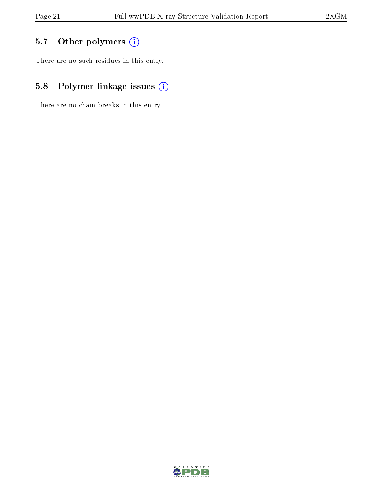## 5.7 [O](https://www.wwpdb.org/validation/2017/XrayValidationReportHelp#nonstandard_residues_and_ligands)ther polymers (i)

There are no such residues in this entry.

## 5.8 Polymer linkage issues (i)

There are no chain breaks in this entry.

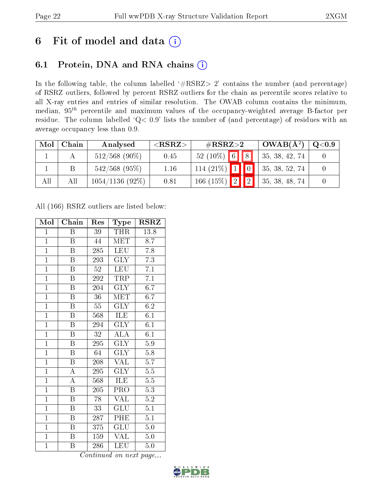# 6 Fit of model and data  $(i)$

## 6.1 Protein, DNA and RNA chains  $(i)$

In the following table, the column labelled  $#RSRZ> 2'$  contains the number (and percentage) of RSRZ outliers, followed by percent RSRZ outliers for the chain as percentile scores relative to all X-ray entries and entries of similar resolution. The OWAB column contains the minimum, median,  $95<sup>th</sup>$  percentile and maximum values of the occupancy-weighted average B-factor per residue. The column labelled ' $Q< 0.9$ ' lists the number of (and percentage) of residues with an average occupancy less than 0.9.

| Mol | Chain | Analysed          | ${ <\hspace{-1.5pt}{\mathrm{RSRZ}} \hspace{-1.5pt}>}$ | $\#\text{RSRZ}{>}2$               |  | $OWAB(A^2)$    | Q <sub>0.9</sub> |
|-----|-------|-------------------|-------------------------------------------------------|-----------------------------------|--|----------------|------------------|
|     |       | $512/568$ (90%)   | 0.45                                                  | $52(10\%)$ 6 8                    |  | 35, 38, 42, 74 |                  |
|     |       | $542/568$ (95%)   | 1.16                                                  | $114(21\%)$ 1 0                   |  | 35, 38, 52, 74 |                  |
| All | Аll   | $1054/1136(92\%)$ | 0.81                                                  | 166 (15%) $\boxed{2}$ $\boxed{2}$ |  | 35, 38, 48, 74 |                  |

All (166) RSRZ outliers are listed below:

| Mol            | Chain                   | Res             | Type                    | $_{\rm RSRZ}$    |
|----------------|-------------------------|-----------------|-------------------------|------------------|
| $\mathbf{1}$   | Β                       | 39              | THR                     | 13.8             |
| $\mathbf{1}$   | B                       | 44              | <b>MET</b>              | 8.7              |
| $\overline{1}$ | B                       | 285             | <b>LEU</b>              | 7.8              |
| $\overline{1}$ | $\boldsymbol{B}$        | 293             | GLY                     | 7.3              |
| $\overline{1}$ | Β                       | $\overline{52}$ | <b>LEU</b>              | 7.1              |
| $\overline{1}$ | Β                       | 292             | TRP                     | 7.1              |
| $\overline{1}$ | B                       | 204             | <b>GLY</b>              | 6.7              |
| $\overline{1}$ | Β                       | $\overline{36}$ | <b>MET</b>              | 6.7              |
| $\overline{1}$ | B                       | 55              | <b>GLY</b>              | 6.2              |
| $\overline{1}$ | $\boldsymbol{B}$        | 568             | ILE                     | 6.1              |
| $\overline{1}$ | B                       | 294             | <b>GLY</b>              | 6.1              |
| $\overline{1}$ | $\overline{\mathrm{B}}$ | $\overline{32}$ | $\overline{\rm ALA}$    | $\overline{6.1}$ |
| $\overline{1}$ | $\overline{\mathrm{B}}$ | 295             | $\overline{\text{GLY}}$ | 5.9              |
| $\mathbf{1}$   | $\boldsymbol{B}$        | 64              | <b>GLY</b>              | 5.8              |
| $\overline{1}$ | $\overline{\mathrm{B}}$ | 208             | <b>VAL</b>              | 5.7              |
| $\overline{1}$ | $\overline{\rm A}$      | 295             | $\overline{\text{GLY}}$ | $\overline{5.5}$ |
| $\overline{1}$ | $\overline{\rm A}$      | 568             | <b>ILE</b>              | $\overline{5.5}$ |
| $\mathbf{1}$   | Β                       | 205             | PRO                     | 5.3              |
| $\overline{1}$ | $\overline{\mathrm{B}}$ | 78              | $\overline{\text{VAL}}$ | $\overline{5.2}$ |
| $\overline{1}$ | B                       | $\overline{33}$ | GLU                     | $\overline{5.1}$ |
| $\overline{1}$ | $\overline{B}$          | 287             | PHE                     | $5\overline{.1}$ |
| $\overline{1}$ | Β                       | 375             | GLU                     | $5.0\,$          |
| $\overline{1}$ | $\boldsymbol{B}$        | 159             | <b>VAL</b>              | $5.0\,$          |
| $\mathbf{1}$   | B                       | 286             | LEU                     | 5.0              |

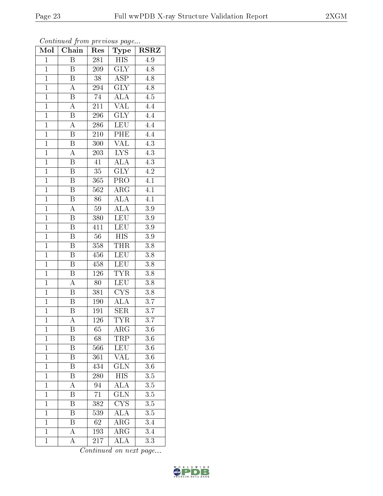| Mol            | Chain                     | Res              | Type                    | <b>RSRZ</b>      |  |
|----------------|---------------------------|------------------|-------------------------|------------------|--|
| $\mathbf{1}$   | Β                         | 281              | <b>HIS</b>              | 4.9              |  |
| $\mathbf{1}$   | B                         | 209              | <b>GLY</b>              | 4.8              |  |
| $\mathbf{1}$   | B                         | $\overline{38}$  | $\overline{\text{ASP}}$ | 4.8              |  |
| $\overline{1}$ | A                         | 294              | <b>GLY</b>              | $\overline{4.8}$ |  |
| $\overline{1}$ | $\overline{\mathrm{B}}$   | $\overline{74}$  | $\overline{\text{ALA}}$ | $\overline{4.5}$ |  |
| $\mathbf{1}$   | А                         | 211              | $\overline{\text{VAL}}$ | 4.4              |  |
| $\mathbf{1}$   | $\overline{\mathrm{B}}$   | $29\overline{6}$ | <b>GLY</b>              | $\overline{4.4}$ |  |
| $\overline{1}$ | $\overline{A}$            | 286              | <b>LEU</b>              | 4.4              |  |
| $\overline{1}$ | B                         | 210              | PHE                     | 4.4              |  |
| $\overline{1}$ | $\overline{\mathrm{B}}$   | $\overline{300}$ | $\overline{\text{VAL}}$ | $\overline{4.3}$ |  |
| $\mathbf{1}$   | $\boldsymbol{A}$          | 203              | ${\rm LYS}$             | $4.3\,$          |  |
| $\mathbf{1}$   | B                         | 41               | <b>ALA</b>              | $\overline{4.3}$ |  |
| $\overline{1}$ | $\overline{\mathbf{B}}$   | $\overline{35}$  | $\overline{GLY}$        | $\overline{4.2}$ |  |
| $\overline{1}$ | B                         | 365              | PRO                     | $\overline{4.1}$ |  |
| $\overline{1}$ | $\overline{\mathrm{B}}$   | $\overline{562}$ | $\overline{\rm{ARG}}$   | $\overline{4.1}$ |  |
| $\mathbf{1}$   | B                         | 86               | <b>ALA</b>              | 4.1              |  |
| $\overline{1}$ | $\overline{A}$            | $59\,$           | <b>ALA</b>              | $\overline{3.9}$ |  |
| $\mathbf{1}$   | Β                         | 380              | <b>LEU</b>              | $3.9\,$          |  |
| $\overline{1}$ | $\boldsymbol{B}$          | 411              | <b>LEU</b>              | $\overline{3.9}$ |  |
| $\overline{1}$ | Β                         | $56\,$           | <b>HIS</b>              | 3.9              |  |
| $\overline{1}$ | $\boldsymbol{\mathrm{B}}$ | 358              | <b>THR</b>              | $3.8\,$          |  |
| $\overline{1}$ | $\boldsymbol{B}$          | 456              | <b>LEU</b>              | $\overline{3.8}$ |  |
| $\overline{1}$ | $\boldsymbol{B}$          | 458              | <b>LEU</b>              | $3.8\,$          |  |
| $\overline{1}$ | $\overline{\mathrm{B}}$   | 126              | <b>TYR</b>              | $\overline{3.8}$ |  |
| $\overline{1}$ | A                         | 80               | <b>LEU</b>              | 3.8              |  |
| $\mathbf{1}$   | B                         | 381              | ${\rm CYS}$             | 3.8              |  |
| $\overline{1}$ | B                         | 190              | $\overline{\rm ALA}$    | $\overline{3.7}$ |  |
| $\overline{1}$ | $\overline{B}$            | 191              | <b>SER</b>              | $\overline{3}.7$ |  |
| $\overline{1}$ | $\overline{\rm A}$        | 126              | <b>TYR</b>              | $\overline{3.7}$ |  |
| $\mathbf{1}$   | Β                         | 65               | $\rm{ARG}$              | $3.6\,$          |  |
| $\mathbf{1}$   | Β                         | 68               | TRP                     | $3.6\,$          |  |
| $\mathbf{1}$   | $\overline{\mathbf{B}}$   | 566              | LEU                     | 3.6              |  |
| $\mathbf{1}$   | Β                         | 361              | $\overline{\text{VAL}}$ | $3.\overline{6}$ |  |
| $\overline{1}$ | $\overline{\mathrm{B}}$   | 434              | $\overline{\text{GLN}}$ | $\overline{3.6}$ |  |
| $\mathbf{1}$   | B                         | 280              | HIS                     | 3.5              |  |
| $\mathbf{1}$   | A                         | 94               | $\overline{\rm ALA}$    | $\overline{3.5}$ |  |
| $\mathbf{1}$   | Β                         | 71               | $\overline{\text{GLN}}$ | 3.5              |  |
| $\overline{1}$ | B                         | 382              | $\overline{\text{CYS}}$ | $\overline{3.5}$ |  |
| $\mathbf{1}$   | Β                         | 539              | $\overline{\rm ALA}$    | $3.\overline{5}$ |  |
| $\mathbf{1}$   | Β                         | 62               | $\rm{ARG}$              | 3.4              |  |
| $\mathbf{1}$   | А                         | 193              | $\rm{ARG}$              | 3.4              |  |
| $\mathbf{1}$   | A                         | 217              | ALA                     | 3.3              |  |

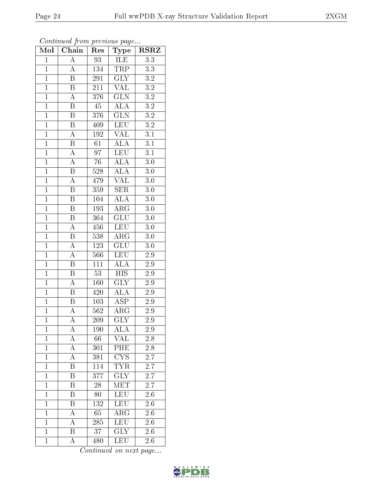| Mol            | Chain                   | Res                            | Type                                        | <b>RSRZ</b>      |  |
|----------------|-------------------------|--------------------------------|---------------------------------------------|------------------|--|
| $\mathbf{1}$   | A                       | <b>ILE</b><br>93               |                                             | 3.3              |  |
| $\overline{1}$ | A                       | 134<br>TRP                     |                                             | $3.3\,$          |  |
| $\mathbf{1}$   | $\overline{\mathrm{B}}$ | 291                            | $\overline{\text{GLY}}$<br>$\overline{3.2}$ |                  |  |
| $\mathbf{1}$   | $\, {\bf B}$            | $211\,$                        | <b>VAL</b><br>$\overline{3.2}$              |                  |  |
| $\overline{1}$ | $\overline{\rm A}$      | $\overline{\text{GLN}}$<br>376 |                                             | $\overline{3.2}$ |  |
| $\mathbf{1}$   | Β                       | 45                             | <b>ALA</b>                                  | $\overline{3.2}$ |  |
| $\overline{1}$ | $\boldsymbol{B}$        | 376                            | $\overline{\text{GLN}}$                     | $\overline{3.2}$ |  |
| $\overline{1}$ | B                       | 409                            | LEU                                         | $\overline{3.2}$ |  |
| $\overline{1}$ | $\overline{\rm A}$      | 192                            | <b>VAL</b>                                  | 3.1              |  |
| $\overline{1}$ | $\overline{\mathrm{B}}$ | 61                             | $\overline{\rm ALA}$                        | $\overline{3.1}$ |  |
| $\overline{1}$ | $\overline{\rm A}$      | 97                             | <b>LEU</b>                                  | $\overline{3.1}$ |  |
| $\overline{1}$ | $\overline{\rm A}$      | $\overline{76}$                | $\overline{\rm ALA}$                        | $\overline{3.0}$ |  |
| $\overline{1}$ | $\overline{\mathbf{B}}$ | 528                            | <b>ALA</b>                                  | $\overline{3.0}$ |  |
| $\mathbf{1}$   | $\overline{\rm A}$      | 479                            | <b>VAL</b>                                  | 3.0              |  |
| $\overline{1}$ | $\overline{\mathrm{B}}$ | 359                            | $\overline{\text{SER}}$                     | $\overline{3.0}$ |  |
| $\overline{1}$ | Β                       | $10\overline{4}$               | <b>ALA</b>                                  | 3.0              |  |
| $\overline{1}$ | $\overline{\mathrm{B}}$ | 193                            | $\overline{\rm{ARG}}$                       | $\overline{3.0}$ |  |
| $\overline{1}$ | Β                       | 364                            | GLU                                         | 3.0              |  |
| $\overline{1}$ | $\boldsymbol{A}$        | LEU<br>456                     |                                             | 3.0              |  |
| $\overline{1}$ | $\overline{\mathrm{B}}$ | 538                            | $AR\overline{G}$                            | $3.0\,$          |  |
| $\overline{1}$ | $\boldsymbol{A}$        | 123                            | $\overline{\text{GLU}}$                     | 3.0              |  |
| $\overline{1}$ | $\overline{\rm A}$      | 566                            | LEU                                         | $\overline{2.9}$ |  |
| $\mathbf{1}$   | B                       | 111                            | <b>ALA</b>                                  | $2.9\,$          |  |
| $\overline{1}$ | $\overline{\mathrm{B}}$ | 53                             | $\overline{HIS}$                            | $2.9\,$          |  |
| $\mathbf{1}$   | A                       | 160                            | $\overline{\text{GLY}}$                     | $2.9\,$          |  |
| $\overline{1}$ | $\boldsymbol{B}$        | 420                            | $\widehat{\text{ALA}}$                      | 2.9              |  |
| $\overline{1}$ | B                       | 103                            | $\overline{\text{ASP}}$                     | 2.9              |  |
| $\mathbf{1}$   | A                       | 562                            | $\rm{ARG}$                                  | 2.9              |  |
| $\overline{1}$ | $\overline{\rm A}$      | 209                            | $\overline{\text{GLY}}$                     | 2.9              |  |
| $\mathbf{1}$   | А                       | 190                            | $\overline{\rm ALA}$                        | 2.9              |  |
| $\mathbf{1}$   | $\boldsymbol{A}$        | 66                             | <b>VAL</b>                                  | 2.8              |  |
| $\mathbf{1}$   | $\overline{\rm A}$      | 301                            | PHE                                         | $\overline{2.8}$ |  |
| $\mathbf{1}$   | A                       | 381                            | ${\rm CYS}$                                 | 2.7              |  |
| $\mathbf{1}$   | $\overline{\mathrm{B}}$ | 114                            | <b>TYR</b>                                  | $\overline{2.7}$ |  |
| $\mathbf{1}$   | Β                       | 377                            | $\overline{\text{GLY}}$                     | 2.7              |  |
| $\overline{1}$ | B                       | $\overline{28}$                | $\overline{\text{MET}}$                     | $\overline{2.7}$ |  |
| $\mathbf{1}$   | Β                       | 80                             | <b>LEU</b>                                  | 2.6              |  |
| $\overline{1}$ | Β                       | 132                            | LEU                                         | 2.6              |  |
| $\mathbf{1}$   | А                       | 65                             | $\rm{AR}\bar{\rm{G}}$                       | 2.6              |  |
| $\overline{1}$ | А                       | 285                            | <b>LEU</b>                                  | 2.6              |  |
| $\mathbf{1}$   | $\overline{\mathrm{B}}$ | 37                             | $\overline{\text{GLY}}$                     | 2.6              |  |
| $\mathbf{1}$   | А                       | 480                            | LEU                                         | $2.6\,$          |  |

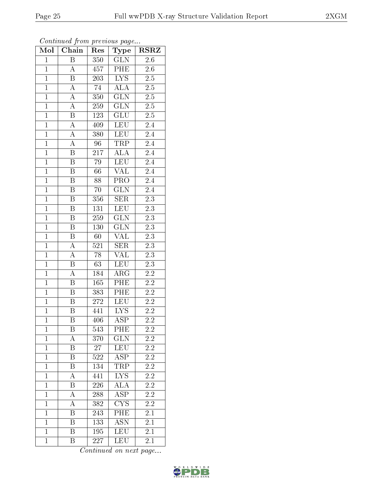| Mol            | Chain                     | Type<br>Res     |                         | <b>RSRZ</b>      |  |
|----------------|---------------------------|-----------------|-------------------------|------------------|--|
| $\mathbf{1}$   | $\overline{\mathrm{B}}$   | GLN<br>350      |                         | 2.6              |  |
| $\overline{1}$ | $\boldsymbol{A}$          | 457             | PHE<br>2.6              |                  |  |
| $\mathbf{1}$   | $\overline{\mathrm{B}}$   | 203             | $\overline{\text{LYS}}$ | $\overline{2.5}$ |  |
| $\mathbf{1}$   | $\boldsymbol{A}$          | $\overline{7}4$ | $\overline{ALA}$        | $2.5\,$          |  |
| $\overline{1}$ | $\overline{A}$            | 350             | $\overline{\text{GLN}}$ | $\overline{2.5}$ |  |
| $\mathbf{1}$   | $\overline{\rm A}$        | 259             | <b>GLN</b>              | 2.5              |  |
| $\overline{1}$ | B                         | 123             | <b>GLU</b>              | 2.5              |  |
| $\mathbf{1}$   | $\overline{A}$            | 409             | <b>LEU</b>              | 2.4              |  |
| $\mathbf{1}$   | A                         | 380             | <b>LEU</b>              | 2.4              |  |
| $\mathbf{1}$   | $\overline{A}$            | 96              | <b>TRP</b>              | 2.4              |  |
| $\overline{1}$ | B                         | 217             | ALA                     | 2.4              |  |
| $\overline{1}$ | $\overline{\mathrm{B}}$   | 79              | LEU                     | $\overline{2.4}$ |  |
| $\overline{1}$ | $\overline{B}$            | 66              | $\overline{\text{VAL}}$ | 2.4              |  |
| $\mathbf{1}$   | $\boldsymbol{B}$          | 88              | PRO                     | 2.4              |  |
| $\overline{1}$ | $\overline{\mathrm{B}}$   | 70              | $\overline{\text{GLN}}$ | $\overline{2.4}$ |  |
| $\overline{1}$ | Β                         | 356             | <b>SER</b>              | 2.3              |  |
| $\overline{1}$ | $\overline{\mathrm{B}}$   | 131             | LEU                     | $\overline{2.3}$ |  |
| $\mathbf{1}$   | Β                         | 259             | <b>GLN</b>              | $2.\overline{3}$ |  |
| $\overline{1}$ | Β                         | 130             | <b>GLN</b>              | 2.3              |  |
| $\mathbf{1}$   | Β                         | 60              | VAL                     | $2.\overline{3}$ |  |
| $\overline{1}$ | A                         | 521             | $\overline{\text{SER}}$ | 2.3              |  |
| $\overline{1}$ | $\overline{\rm A}$        | 78              | $\overline{\text{VAL}}$ | $\overline{2.3}$ |  |
| $\mathbf{1}$   | B                         | 63              | <b>LEU</b>              | $2.3\,$          |  |
| $\mathbf{1}$   | $\overline{\rm A}$        | 184             | $\rm{ARG}$              | $2\overline{.2}$ |  |
| $\mathbf{1}$   | Β                         | 165             | PHE                     | 2.2              |  |
| $\overline{1}$ | $\boldsymbol{B}$          | 383             | PHE                     | $2.\overline{2}$ |  |
| $\overline{1}$ | $\boldsymbol{\mathrm{B}}$ | 272             | LEU                     | 2.2              |  |
| $\mathbf{1}$   | Β                         | 441             | <b>LYS</b>              | 2.2              |  |
| $\overline{1}$ | B                         | 406             | $\overline{\rm ASP}$    | 2.2              |  |
| $\mathbf 1$    | Β                         | 543             | PHE                     | $\overline{2.2}$ |  |
| $\mathbf{1}$   | A                         | 370             | GLN                     | $2.2\,$          |  |
| $\mathbf{1}$   | $\overline{\mathrm{B}}$   | $27\,$          | $\overline{\text{LEU}}$ | $\overline{2.2}$ |  |
| $\mathbf{1}$   | Β                         | 522             | ASP                     | 2.2              |  |
| $\mathbf{1}$   | $\overline{\mathrm{B}}$   | 134             | <b>TRP</b>              | $\overline{2.2}$ |  |
| $\mathbf{1}$   | А                         | 441             | LYS                     | 2.2              |  |
| $\mathbf{1}$   | $\overline{\mathrm{B}}$   | 226             | $\overline{\rm ALA}$    | $\overline{2.2}$ |  |
| $\mathbf{1}$   | А                         | 288             | <b>ASP</b>              | $\overline{2.2}$ |  |
| $\overline{1}$ | A                         | 382             | $\overline{\text{CYS}}$ | 2.2              |  |
| $\mathbf 1$    | Β                         | 243             | $\overline{\text{PHE}}$ | 2.1              |  |
| $\mathbf{1}$   | B                         | 133             | <b>ASN</b>              | 2.1              |  |
| $\mathbf{1}$   | Β                         | 195             | LEU                     | 2.1              |  |
| $\mathbf{1}$   | Β                         | 227             | <b>LEU</b>              | 2.1              |  |